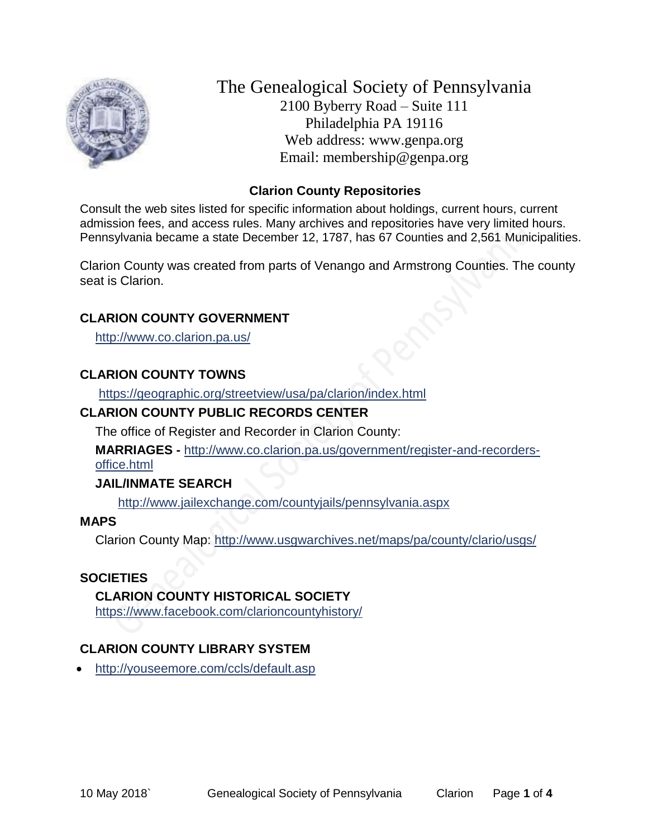

The Genealogical Society of Pennsylvania 2100 Byberry Road – Suite 111 Philadelphia PA 19116 Web address: www.genpa.org Email: membership@genpa.org

### **Clarion County Repositories**

Consult the web sites listed for specific information about holdings, current hours, current admission fees, and access rules. Many archives and repositories have very limited hours. Pennsylvania became a state December 12, 1787, has 67 Counties and 2,561 Municipalities.

Clarion County was created from parts of Venango and Armstrong Counties. The county seat is Clarion.

### **CLARION COUNTY GOVERNMENT**

<http://www.co.clarion.pa.us/>

#### **CLARION COUNTY TOWNS**

<https://geographic.org/streetview/usa/pa/clarion/index.html>

### **CLARION COUNTY PUBLIC RECORDS CENTER**

The office of Register and Recorder in Clarion County:

**MARRIAGES -** [http://www.co.clarion.pa.us/government/register-and-recorders](http://www.co.clarion.pa.us/government/register-and-recorders-office.html)[office.html](http://www.co.clarion.pa.us/government/register-and-recorders-office.html)

#### **JAIL/INMATE SEARCH**

<http://www.jailexchange.com/countyjails/pennsylvania.aspx>

#### **MAPS**

Clarion County Map:<http://www.usgwarchives.net/maps/pa/county/clario/usgs/>

### **SOCIETIES**

#### **CLARION COUNTY HISTORICAL SOCIETY**

<https://www.facebook.com/clarioncountyhistory/>

### **CLARION COUNTY LIBRARY SYSTEM**

<http://youseemore.com/ccls/default.asp>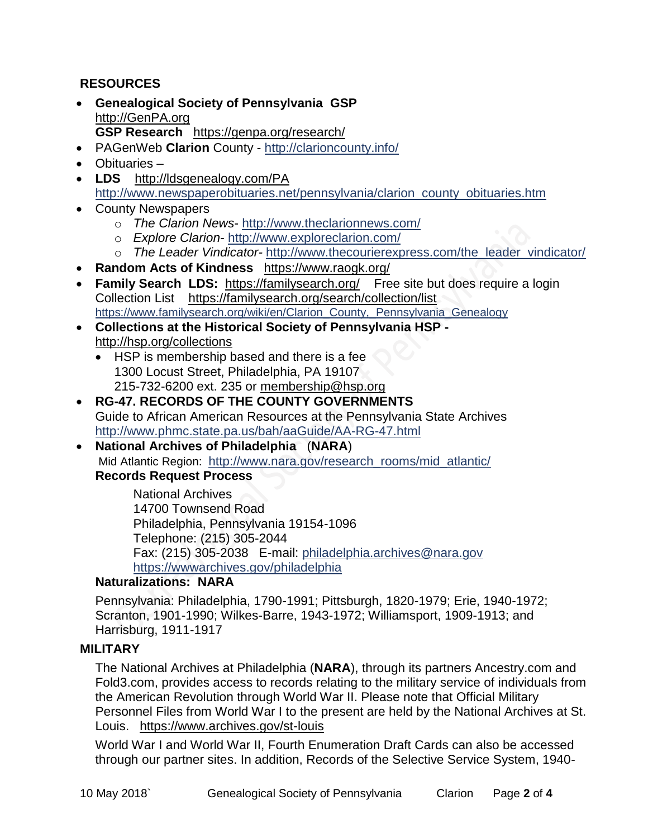### **RESOURCES**

- **Genealogical Society of Pennsylvania GSP** [http://GenPA.org](http://genpa.org/) **GSP Research** <https://genpa.org/research/>
- PAGenWeb **Clarion** County <http://clarioncounty.info/>
- Obituaries –
- **LDS** <http://ldsgenealogy.com/PA> [http://www.newspaperobituaries.net/pennsylvania/clarion\\_county\\_obituaries.htm](http://www.newspaperobituaries.net/pennsylvania/clarion_county_obituaries.htm)
- County Newspapers
	- o *The Clarion News* <http://www.theclarionnews.com/>
	- o *Explore Clarion* <http://www.exploreclarion.com/>
	- o *The Leader Vindicator-* [http://www.thecourierexpress.com/the\\_leader\\_vindicator/](http://www.thecourierexpress.com/the_leader_vindicator/)
- **Random Acts of Kindness** <https://www.raogk.org/>
- **Family Search LDS:** <https://familysearch.org/>Free site but does require a login Collection List <https://familysearch.org/search/collection/list> [https://www.familysearch.org/wiki/en/Clarion\\_County,\\_Pennsylvania\\_Genealogy](https://www.familysearch.org/wiki/en/Clarion_County,_Pennsylvania_Genealogy)
- **Collections at the Historical Society of Pennsylvania HSP**  <http://hsp.org/collections>
	- HSP is membership based and there is a fee 1300 Locust Street, Philadelphia, PA 19107 215-732-6200 ext. 235 or [membership@hsp.org](mailto:membership@hsp.org)
- **RG-47. RECORDS OF THE COUNTY GOVERNMENTS** Guide to African American Resources at the Pennsylvania State Archives <http://www.phmc.state.pa.us/bah/aaGuide/AA-RG-47.html>
- **National Archives of Philadelphia** (**NARA**) Mid Atlantic Region: [http://www.nara.gov/research\\_rooms/mid\\_atlantic/](http://www.nara.gov/research_rooms/mid_atlantic/) **Records Request Process**

National Archives 14700 Townsend Road Philadelphia, Pennsylvania 19154-1096 Telephone: (215) 305-2044 Fax: (215) 305-2038 E-mail: [philadelphia.archives@nara.gov](mailto:philadelphia.archives@nara.gov) <https://wwwarchives.gov/philadelphia>

### **Naturalizations: NARA**

Pennsylvania: Philadelphia, 1790-1991; Pittsburgh, 1820-1979; Erie, 1940-1972; Scranton, 1901-1990; Wilkes-Barre, 1943-1972; Williamsport, 1909-1913; and Harrisburg, 1911-1917

### **MILITARY**

The National Archives at Philadelphia (**NARA**), through its partners Ancestry.com and Fold3.com, provides access to records relating to the military service of individuals from the American Revolution through World War II. Please note that Official Military Personnel Files from World War I to the present are held by the National Archives at St. Louis. <https://www.archives.gov/st-louis>

World War I and World War II, Fourth Enumeration Draft Cards can also be accessed through our partner sites. In addition, Records of the Selective Service System, 1940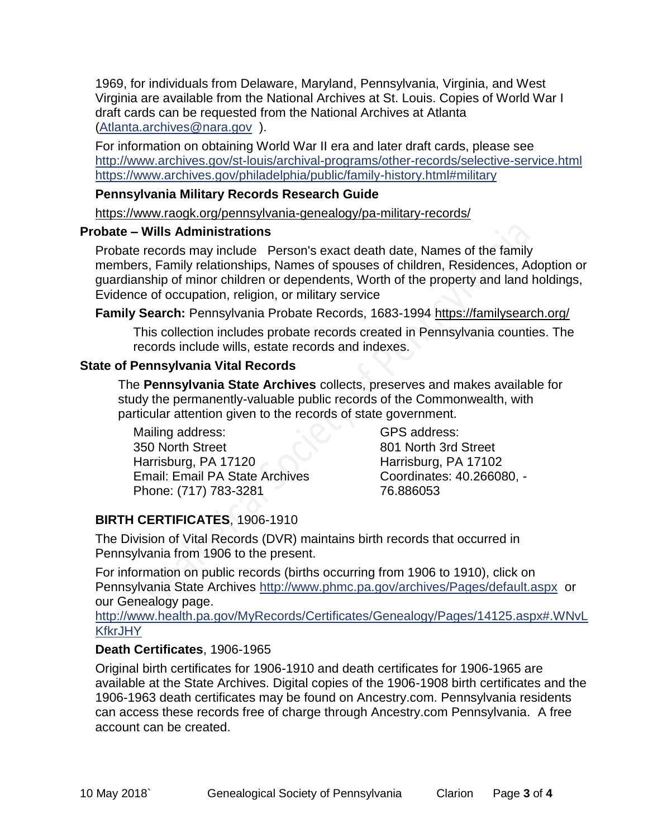1969, for individuals from Delaware, Maryland, Pennsylvania, Virginia, and West Virginia are available from the National Archives at St. Louis. Copies of World War I draft cards can be requested from the National Archives at Atlanta [\(Atlanta.archives@nara.gov](mailto:Atlanta.archives@nara.gov) ).

For information on obtaining World War II era and later draft cards, please see <http://www.archives.gov/st-louis/archival-programs/other-records/selective-service.html> <https://www.archives.gov/philadelphia/public/family-history.html#military>

#### **Pennsylvania Military Records Research Guide**

<https://www.raogk.org/pennsylvania-genealogy/pa-military-records/>

#### **Probate – Wills Administrations**

Probate records may include Person's exact death date, Names of the family members, Family relationships, Names of spouses of children, Residences, Adoption or guardianship of minor children or dependents, Worth of the property and land holdings, Evidence of occupation, religion, or military service

**Family Search:** Pennsylvania Probate Records, 1683-1994 <https://familysearch.org/>

This collection includes probate records created in Pennsylvania counties. The records include wills, estate records and indexes.

#### **State of Pennsylvania Vital Records**

The **Pennsylvania State Archives** collects, preserves and makes available for study the permanently-valuable public records of the Commonwealth, with particular attention given to the records of state government.

Mailing address: 350 North Street Harrisburg, PA 17120 Email: Email PA State Archives Phone: (717) 783-3281

GPS address: 801 North 3rd Street Harrisburg, PA 17102 Coordinates: 40.266080, - 76.886053

## **BIRTH CERTIFICATES**, 1906-1910

The Division of Vital Records (DVR) maintains birth records that occurred in Pennsylvania from 1906 to the present.

For information on public records (births occurring from 1906 to 1910), click on Pennsylvania State Archives <http://www.phmc.pa.gov/archives/Pages/default.aspx>or our Genealogy page.

[http://www.health.pa.gov/MyRecords/Certificates/Genealogy/Pages/14125.aspx#.WNvL](http://www.health.pa.gov/MyRecords/Certificates/Genealogy/Pages/14125.aspx#.WNvLKfkrJHY) **[KfkrJHY](http://www.health.pa.gov/MyRecords/Certificates/Genealogy/Pages/14125.aspx#.WNvLKfkrJHY)** 

### **Death Certificates**, 1906-1965

Original birth certificates for 1906-1910 and death certificates for 1906-1965 are available at the State Archives. Digital copies of the 1906-1908 birth certificates and the 1906-1963 death certificates may be found on Ancestry.com. Pennsylvania residents can access these records free of charge through Ancestry.com Pennsylvania. A free account can be created.